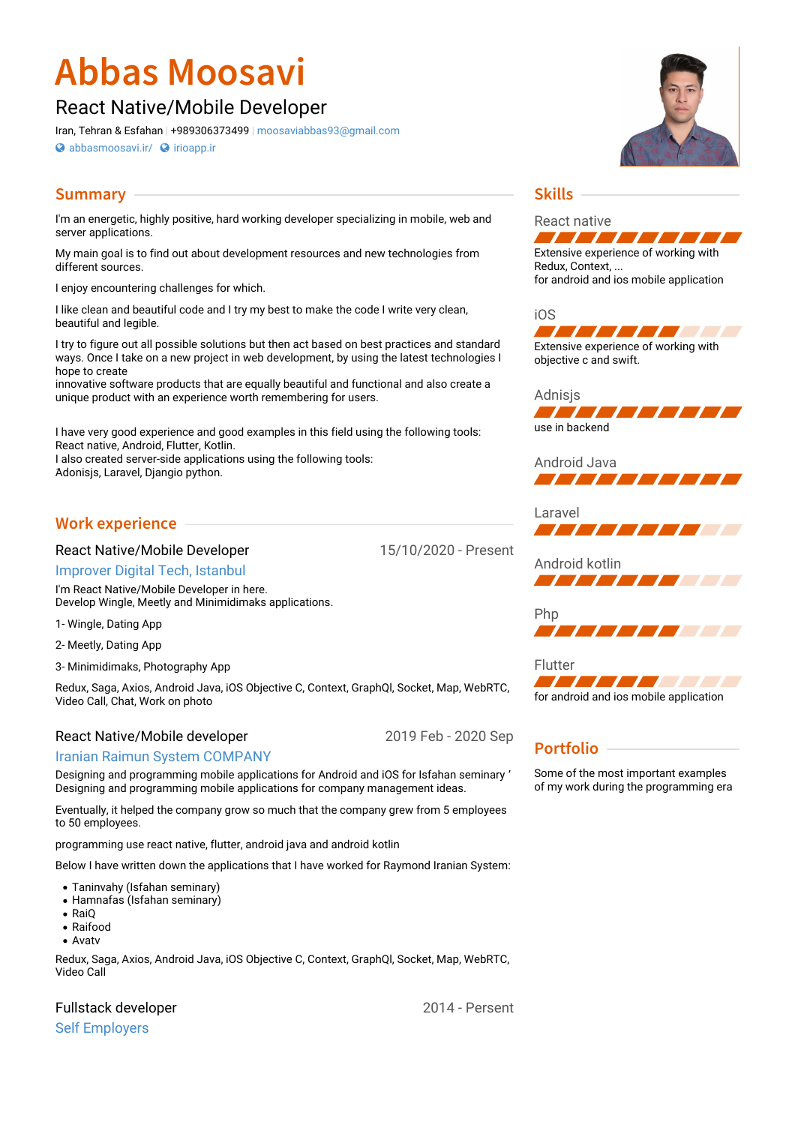# **Abbas Moosavi**

# React Native/Mobile Developer

Iran, Tehran & Esfahan | +989306373499 | [moosaviabbas93@gmail.com](mailto:moosaviabbas93@gmail.com)

**[abbasmoosavi.ir/](http://abbasmoosavi.ir/) <b>a** [irioapp.ir](http://irioapp.ir)

# **Summary**

I'm an energetic, highly positive, hard working developer specializing in mobile, web and server applications.

My main goal is to find out about development resources and new technologies from different sources.

I enjoy encountering challenges for which.

I like clean and beautiful code and I try my best to make the code I write very clean, beautiful and legible.

I try to figure out all possible solutions but then act based on best practices and standard ways. Once I take on a new project in web development, by using the latest technologies I hope to create

innovative software products that are equally beautiful and functional and also create a unique product with an experience worth remembering for users.

I have very good experience and good examples in this field using the following tools: React native, Android, Flutter, Kotlin.

I also created server-side applications using the following tools:

َAdonisjs, Laravel, Djangio python.

# **Work experience**

#### React Native/Mobile Developer

15/10/2020 - Present

2019 Feb - 2020 Sep

[Improver](https://improver.com.tr/) Digital Tech, Istanbul

I'm React Native/Mobile Developer in here. Develop Wingle, Meetly and Minimidimaks applications.

1- Wingle, Dating App

2- Meetly, Dating App

3- Minimidimaks, Photography App

Redux, Saga, Axios, Android Java, iOS Objective C, Context, GraphQl, Socket, Map, WebRTC, Video Call, Chat, Work on photo

#### React Native/Mobile developer

#### Iranian Raimun System [COMPANY](https://raimun.com/)

Designing and programming mobile applications for Android and iOS for Isfahan seminary ٬ Designing and programming mobile applications for company management ideas.

Eventually, it helped the company grow so much that the company grew from 5 employees to 50 employees.

programming use react native, flutter, android java and android kotlin

Below I have written down the applications that I have worked for Raymond Iranian System:

- Taninvahy (Isfahan seminary)
- Hamnafas (Isfahan seminary)
- RaiO
- Raifood
- Avatv

Redux, Saga, Axios, Android Java, iOS Objective C, Context, GraphQl, Socket, Map, WebRTC, Video Call

# Fullstack developer

Self [Employers](http://abbasmoosavi.ir)



# **Skills**

React native **State** Extensive experience of working with

Redux, Context, ... for android and ios mobile application

iOS



Adnisjs <u> Liste te te te te t</u>

use in backend





Android kotlin **A 1919 - 1919 - 1919 - 1919 - 1919 - 1919 - 1919 - 1919 - 1919 - 1919 - 1919 - 1919** 

Php 7 7 7 7 7 7 7 7 7 7 7 7

Flutter Ta kata kacamatan ing Kabupatén Indonesia. for android and ios mobile application

# **Portfolio**

Some of the most important examples of my work during the programming era

2014 - Persent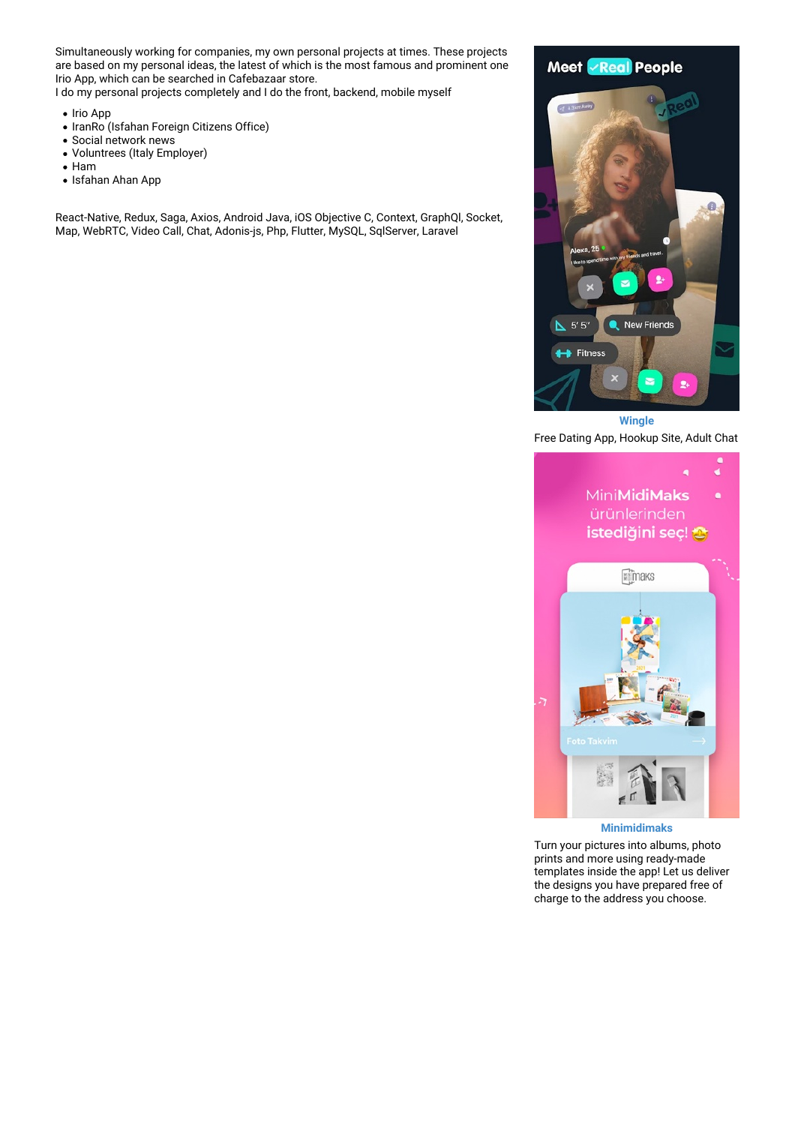Simultaneously working for companies, my own personal projects at times. These projects are based on my personal ideas, the latest of which is the most famous and prominent one Irio App, which can be searched in Cafebazaar store.

I do my personal projects completely and I do the front, backend, mobile myself

- Irio App
- IranRo (Isfahan Foreign Citizens Office)
- Social network news
- Voluntrees (Italy Employer)
- Ham
- Isfahan Ahan App

React-Native, Redux, Saga, Axios, Android Java, iOS Objective C, Context, GraphQl, Socket, Map, WebRTC, Video Call, Chat, Adonis-js, Php, Flutter, MySQL, SqlServer, Laravel



Free Dating App, Hookup Site, Adult Chat



**Minimidimaks**

Turn your pictures into albums, photo prints and more using ready-made templates inside the app! Let us deliver the designs you have prepared free of charge to the address you choose.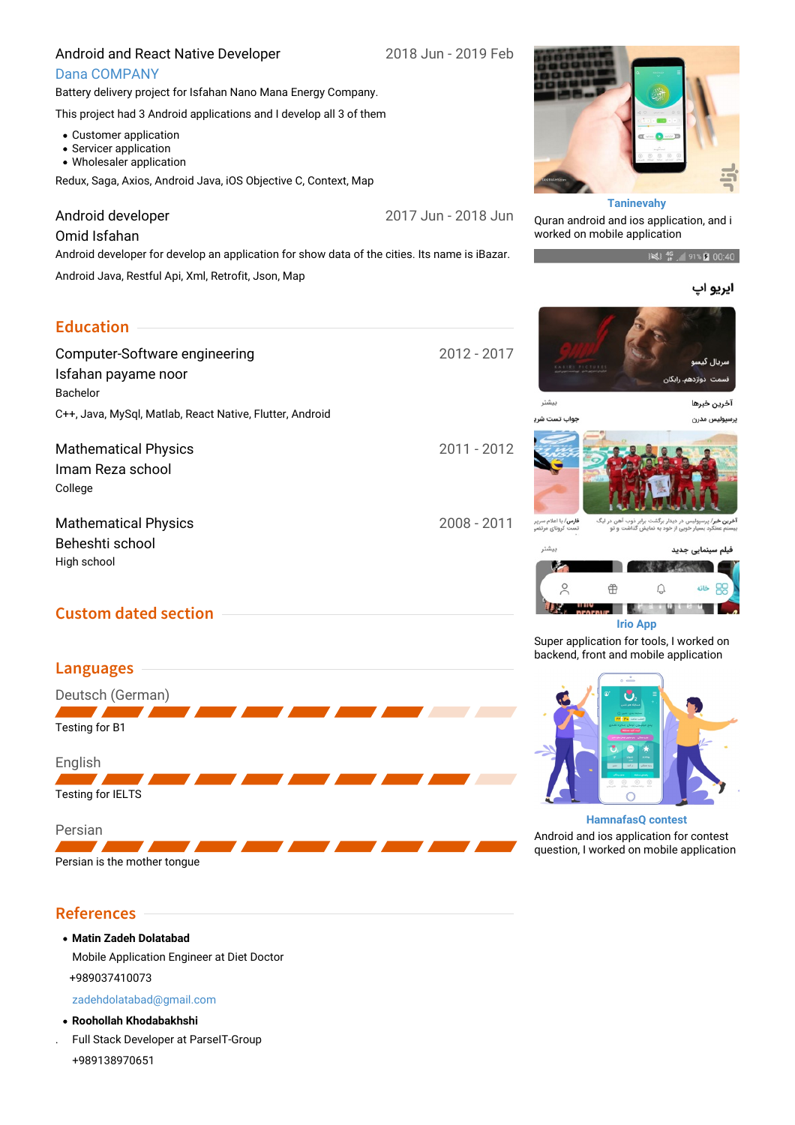#### Android and React Native Developer

2018 Jun - 2019 Feb

#### Dana [COMPANY](http://dana.co.ir/)

Battery delivery project for Isfahan Nano Mana Energy Company.

This project had 3 Android applications and I develop all 3 of them

- Customer application
- Servicer application
- Wholesaler application

Redux, Saga, Axios, Android Java, iOS Objective C, Context, Map

#### Android developer

2017 Jun - 2018 Jun

#### Omid Isfahan

Android developer for develop an application for show data of the cities. Its name is iBazar.

Android Java, Restful Api, Xml, Retrofit, Json, Map

## **Education**

2012 - 2017 2011 - 2012 2008 - 2011 Computer-Software engineering Isfahan payame noor Bachelor C++, Java, MySql, Matlab, React Native, Flutter, Android Mathematical Physics Imam Reza school College Mathematical Physics Beheshti school High school

# **Custom dated section**



#### **Taninevahy**

Quran android and ios application, and i worked on mobile application

3 146 91% 2 00:40

#### ايريو اپ



#### **HamnafasQ contest**

Android and ios application for contest question, I worked on mobile application

# **References**

**Matin Zadeh Dolatabad** Mobile Application Engineer at Diet Doctor +989037410073

[zadehdolatabad@gmail.com](mailto:zadehdolatabad@gmail.com)

- **Roohollah Khodabakhshi**
- . Full Stack Developer at ParseIT-Group +989138970651